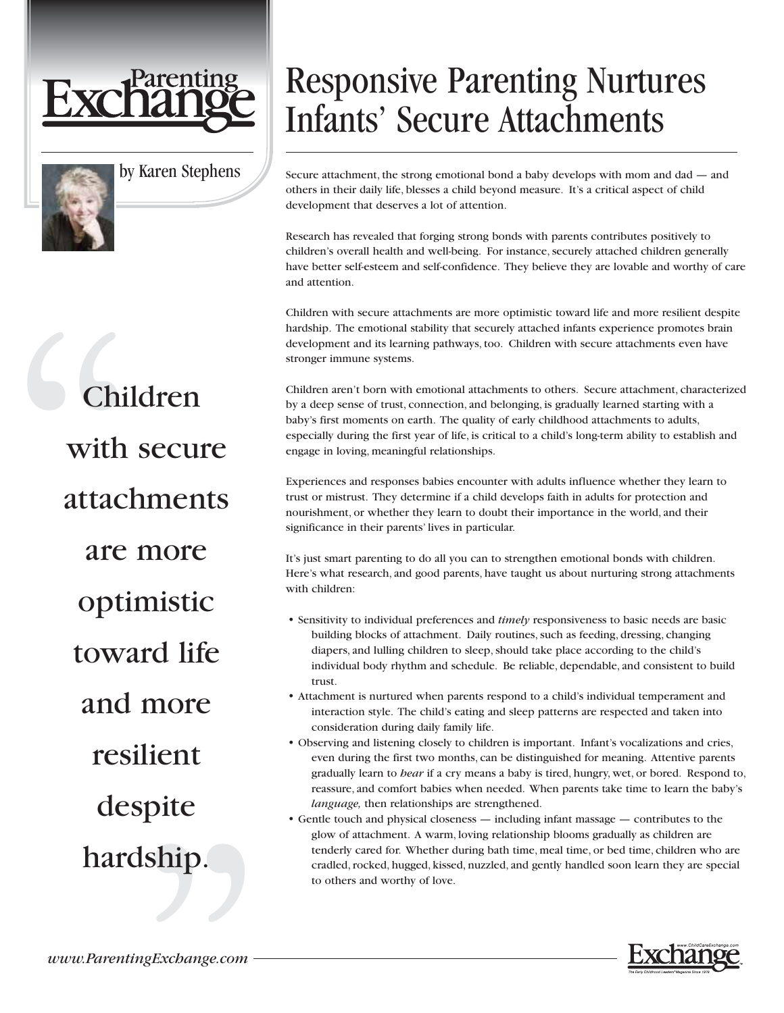



by Karen Stephens

## Responsive Parenting Nurtures Infants' Secure Attachments

Secure attachment, the strong emotional bond a baby develops with mom and dad — and others in their daily life, blesses a child beyond measure. It's a critical aspect of child development that deserves a lot of attention.

Research has revealed that forging strong bonds with parents contributes positively to children's overall health and well-being. For instance, securely attached children generally have better self-esteem and self-confidence. They believe they are lovable and worthy of care and attention.

Children with secure attachments are more optimistic toward life and more resilient despite hardship. The emotional stability that securely attached infants experience promotes brain development and its learning pathways, too. Children with secure attachments even have stronger immune systems.

Children aren't born with emotional attachments to others. Secure attachment, characterized by a deep sense of trust, connection, and belonging, is gradually learned starting with a baby's first moments on earth. The quality of early childhood attachments to adults, especially during the first year of life, is critical to a child's long-term ability to establish and engage in loving, meaningful relationships.

Experiences and responses babies encounter with adults influence whether they learn to trust or mistrust. They determine if a child develops faith in adults for protection and nourishment, or whether they learn to doubt their importance in the world, and their significance in their parents' lives in particular.

It's just smart parenting to do all you can to strengthen emotional bonds with children. Here's what research, and good parents, have taught us about nurturing strong attachments with children:

- Sensitivity to individual preferences and *timely* responsiveness to basic needs are basic building blocks of attachment. Daily routines, such as feeding, dressing, changing diapers, and lulling children to sleep, should take place according to the child's individual body rhythm and schedule. Be reliable, dependable, and consistent to build trust.
- Attachment is nurtured when parents respond to a child's individual temperament and interaction style. The child's eating and sleep patterns are respected and taken into consideration during daily family life.
- Observing and listening closely to children is important. Infant's vocalizations and cries, even during the first two months, can be distinguished for meaning. Attentive parents gradually learn to *hear* if a cry means a baby is tired, hungry, wet, or bored. Respond to, reassure, and comfort babies when needed. When parents take time to learn the baby's *language,* then relationships are strengthened.
- Gentle touch and physical closeness including infant massage contributes to the glow of attachment. A warm, loving relationship blooms gradually as children are tenderly cared for. Whether during bath time, meal time, or bed time, children who are cradled, rocked, hugged, kissed, nuzzled, and gently handled soon learn they are special to others and worthy of love.



Children with secure attachments are more optimistic toward life and more resilient despite hardship.